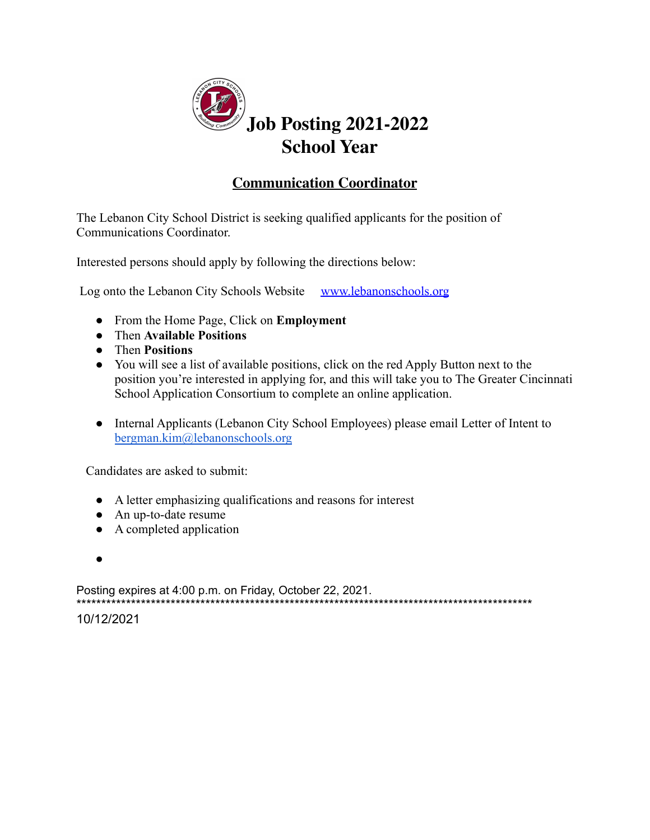

# **Communication Coordinator**

The Lebanon City School District is seeking qualified applicants for the position of Communications Coordinator.

Interested persons should apply by following the directions below:

Log onto the Lebanon City Schools Website www.lebanonschools.org

- From the Home Page, Click on **Employment**
- Then Available Positions
- Then Positions
- You will see a list of available positions, click on the red Apply Button next to the position you're interested in applying for, and this will take you to The Greater Cincinnati School Application Consortium to complete an online application.
- Internal Applicants (Lebanon City School Employees) please email Letter of Intent to bergman.kim@lebanonschools.org

Candidates are asked to submit:

- A letter emphasizing qualifications and reasons for interest
- An up-to-date resume
- $\bullet$  A completed application
- $\bullet$

Posting expires at 4:00 p.m. on Friday, October 22, 2021. 

10/12/2021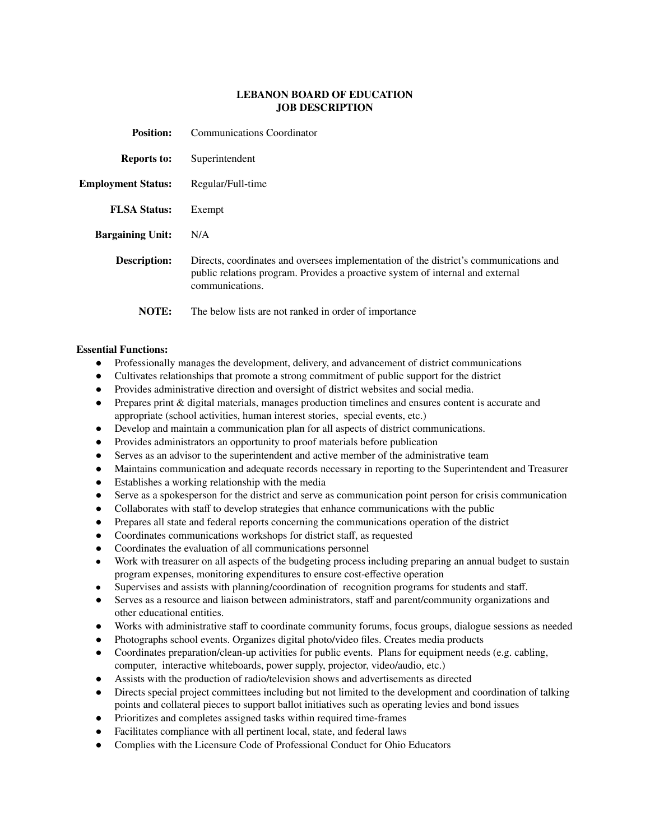## **LEBANON BOARD OF EDUCATION JOB DESCRIPTION**

| <b>Position:</b>          | Communications Coordinator                                                                                                                                                                 |
|---------------------------|--------------------------------------------------------------------------------------------------------------------------------------------------------------------------------------------|
| <b>Reports to:</b>        | Superintendent                                                                                                                                                                             |
| <b>Employment Status:</b> | Regular/Full-time                                                                                                                                                                          |
| <b>FLSA Status:</b>       | Exempt                                                                                                                                                                                     |
| <b>Bargaining Unit:</b>   | N/A                                                                                                                                                                                        |
| <b>Description:</b>       | Directs, coordinates and oversees implementation of the district's communications and<br>public relations program. Provides a proactive system of internal and external<br>communications. |
| NOTE:                     | The below lists are not ranked in order of importance                                                                                                                                      |

## **Essential Functions:**

- Professionally manages the development, delivery, and advancement of district communications
- Cultivates relationships that promote a strong commitment of public support for the district
- Provides administrative direction and oversight of district websites and social media.
- Prepares print & digital materials, manages production timelines and ensures content is accurate and appropriate (school activities, human interest stories, special events, etc.)
- Develop and maintain a communication plan for all aspects of district communications.
- Provides administrators an opportunity to proof materials before publication
- Serves as an advisor to the superintendent and active member of the administrative team
- Maintains communication and adequate records necessary in reporting to the Superintendent and Treasurer
- Establishes a working relationship with the media
- Serve as a spokesperson for the district and serve as communication point person for crisis communication
- Collaborates with staff to develop strategies that enhance communications with the public
- Prepares all state and federal reports concerning the communications operation of the district
- Coordinates communications workshops for district staff, as requested
- Coordinates the evaluation of all communications personnel
- Work with treasurer on all aspects of the budgeting process including preparing an annual budget to sustain program expenses, monitoring expenditures to ensure cost-effective operation
- Supervises and assists with planning/coordination of recognition programs for students and staff.
- Serves as a resource and liaison between administrators, staff and parent/community organizations and other educational entities.
- Works with administrative staff to coordinate community forums, focus groups, dialogue sessions as needed
- Photographs school events. Organizes digital photo/video files. Creates media products
- Coordinates preparation/clean-up activities for public events. Plans for equipment needs (e.g. cabling, computer, interactive whiteboards, power supply, projector, video/audio, etc.)
- Assists with the production of radio/television shows and advertisements as directed
- Directs special project committees including but not limited to the development and coordination of talking points and collateral pieces to support ballot initiatives such as operating levies and bond issues
- Prioritizes and completes assigned tasks within required time-frames
- Facilitates compliance with all pertinent local, state, and federal laws
- Complies with the Licensure Code of Professional Conduct for Ohio Educators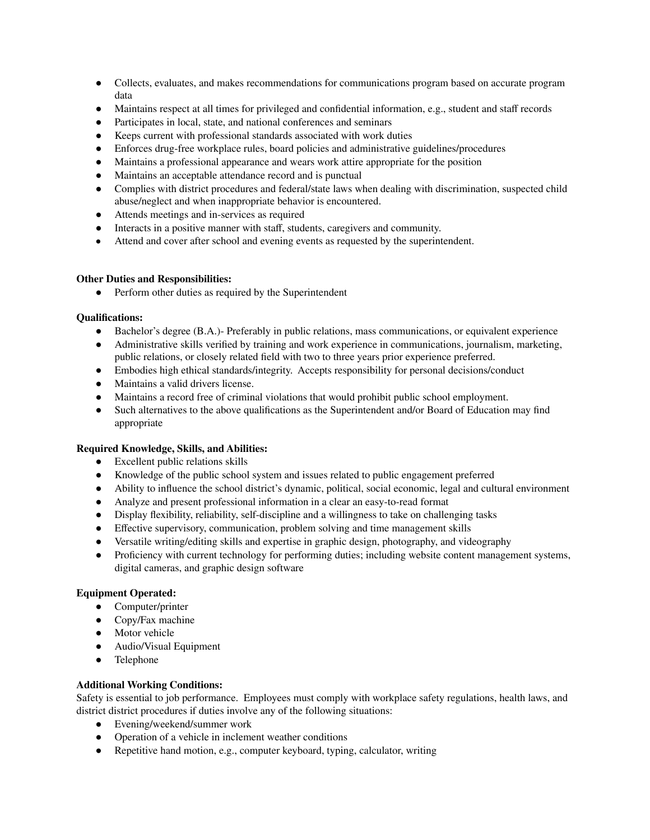- Collects, evaluates, and makes recommendations for communications program based on accurate program data
- Maintains respect at all times for privileged and confidential information, e.g., student and staff records
- Participates in local, state, and national conferences and seminars
- Keeps current with professional standards associated with work duties
- Enforces drug-free workplace rules, board policies and administrative guidelines/procedures
- Maintains a professional appearance and wears work attire appropriate for the position
- Maintains an acceptable attendance record and is punctual
- Complies with district procedures and federal/state laws when dealing with discrimination, suspected child abuse/neglect and when inappropriate behavior is encountered.
- Attends meetings and in-services as required
- Interacts in a positive manner with staff, students, caregivers and community.
- Attend and cover after school and evening events as requested by the superintendent.

## **Other Duties and Responsibilities:**

● Perform other duties as required by the Superintendent

#### **Qualifications:**

- Bachelor's degree (B.A.)- Preferably in public relations, mass communications, or equivalent experience
- Administrative skills verified by training and work experience in communications, journalism, marketing, public relations, or closely related field with two to three years prior experience preferred.
- Embodies high ethical standards/integrity. Accepts responsibility for personal decisions/conduct
- Maintains a valid drivers license.
- Maintains a record free of criminal violations that would prohibit public school employment.
- Such alternatives to the above qualifications as the Superintendent and/or Board of Education may find appropriate

## **Required Knowledge, Skills, and Abilities:**

- Excellent public relations skills
- Knowledge of the public school system and issues related to public engagement preferred
- Ability to influence the school district's dynamic, political, social economic, legal and cultural environment
- Analyze and present professional information in a clear an easy-to-read format
- Display flexibility, reliability, self-discipline and a willingness to take on challenging tasks
- Effective supervisory, communication, problem solving and time management skills
- Versatile writing/editing skills and expertise in graphic design, photography, and videography
- Proficiency with current technology for performing duties; including website content management systems, digital cameras, and graphic design software

## **Equipment Operated:**

- Computer/printer
- Copy/Fax machine
- Motor vehicle
- Audio/Visual Equipment
- Telephone

## **Additional Working Conditions:**

Safety is essential to job performance. Employees must comply with workplace safety regulations, health laws, and district district procedures if duties involve any of the following situations:

- Evening/weekend/summer work
- Operation of a vehicle in inclement weather conditions
- Repetitive hand motion, e.g., computer keyboard, typing, calculator, writing